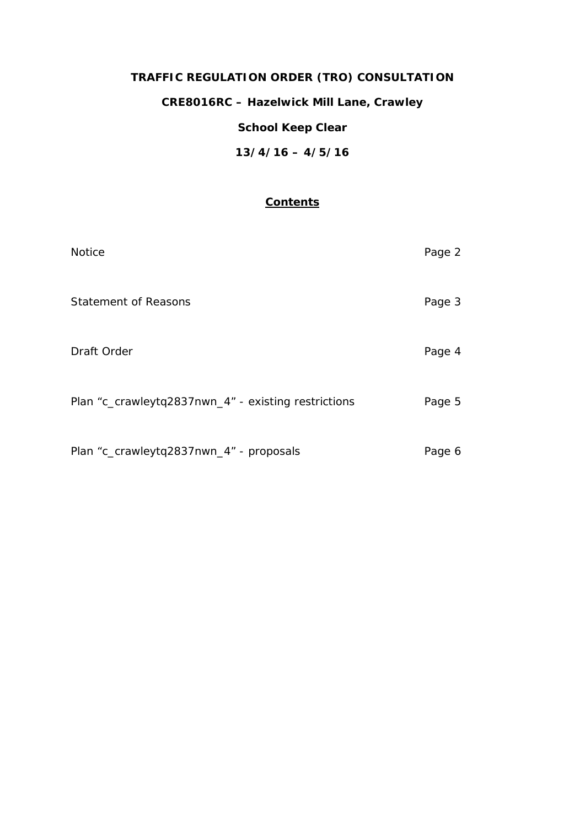# **TRAFFIC REGULATION ORDER (TRO) CONSULTATION**

**CRE8016RC – Hazelwick Mill Lane, Crawley**

## **School Keep Clear**

**13/4/16 – 4/5/16**

## **Contents**

| <b>Notice</b>                                       | Page 2 |
|-----------------------------------------------------|--------|
| Statement of Reasons                                | Page 3 |
| Draft Order                                         | Page 4 |
| Plan "c_crawleytq2837nwn_4" - existing restrictions | Page 5 |
| Plan "c_crawleytq2837nwn_4" - proposals             | Page 6 |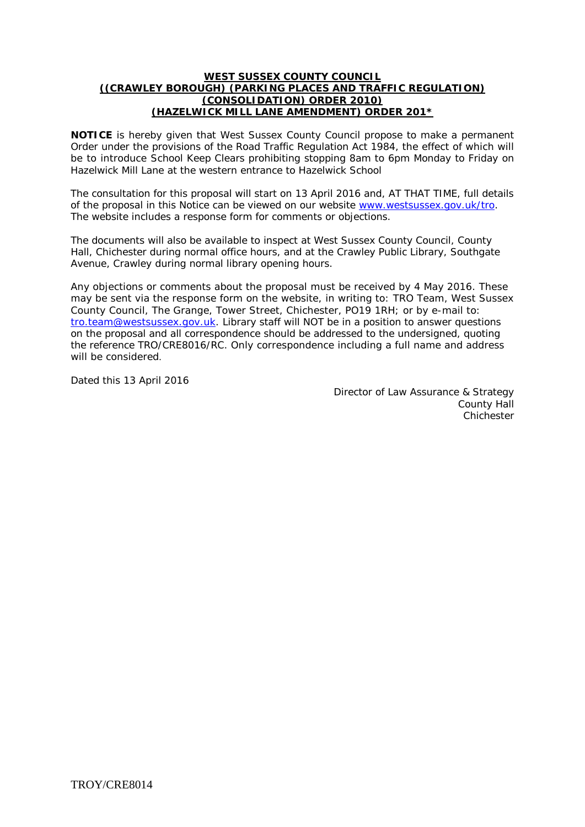#### **WEST SUSSEX COUNTY COUNCIL ((CRAWLEY BOROUGH) (PARKING PLACES AND TRAFFIC REGULATION) (CONSOLIDATION) ORDER 2010) (HAZELWICK MILL LANE AMENDMENT) ORDER 201\***

**NOTICE** is hereby given that West Sussex County Council propose to make a permanent Order under the provisions of the Road Traffic Regulation Act 1984, the effect of which will be to introduce School Keep Clears prohibiting stopping 8am to 6pm Monday to Friday on Hazelwick Mill Lane at the western entrance to Hazelwick School

The consultation for this proposal will start on 13 April 2016 and, AT THAT TIME, full details of the proposal in this Notice can be viewed on our website [www.westsussex.gov.uk/tro.](http://www.westsussex.gov.uk/tro) The website includes a response form for comments or objections.

The documents will also be available to inspect at West Sussex County Council, County Hall, Chichester during normal office hours, and at the Crawley Public Library, Southgate Avenue, Crawley during normal library opening hours.

Any objections or comments about the proposal must be received by 4 May 2016. These may be sent via the response form on the website, in writing to: TRO Team, West Sussex County Council, The Grange, Tower Street, Chichester, PO19 1RH; or by e-mail to: [tro.team@westsussex.gov.uk.](mailto:tro.team@westsussex.gov.uk) Library staff will NOT be in a position to answer questions on the proposal and all correspondence should be addressed to the undersigned, quoting the reference TRO/CRE8016/RC. Only correspondence including a full name and address will be considered.

Dated this 13 April 2016

Director of Law Assurance & Strategy County Hall Chichester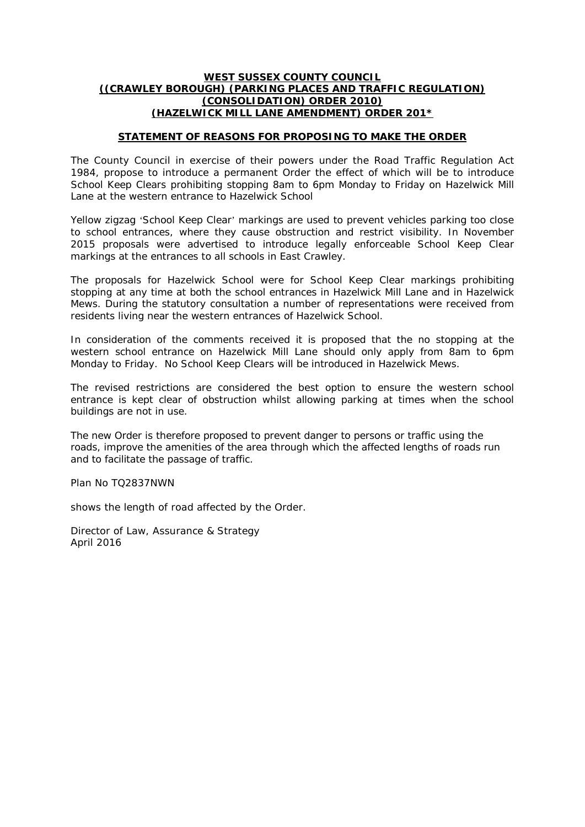#### **WEST SUSSEX COUNTY COUNCIL ((CRAWLEY BOROUGH) (PARKING PLACES AND TRAFFIC REGULATION) (CONSOLIDATION) ORDER 2010) (HAZELWICK MILL LANE AMENDMENT) ORDER 201\***

#### **STATEMENT OF REASONS FOR PROPOSING TO MAKE THE ORDER**

The County Council in exercise of their powers under the Road Traffic Regulation Act 1984, propose to introduce a permanent Order the effect of which will be to introduce School Keep Clears prohibiting stopping 8am to 6pm Monday to Friday on Hazelwick Mill Lane at the western entrance to Hazelwick School

Yellow zigzag 'School Keep Clear' markings are used to prevent vehicles parking too close to school entrances, where they cause obstruction and restrict visibility. In November 2015 proposals were advertised to introduce legally enforceable School Keep Clear markings at the entrances to all schools in East Crawley.

The proposals for Hazelwick School were for School Keep Clear markings prohibiting stopping at any time at both the school entrances in Hazelwick Mill Lane and in Hazelwick Mews. During the statutory consultation a number of representations were received from residents living near the western entrances of Hazelwick School.

In consideration of the comments received it is proposed that the no stopping at the western school entrance on Hazelwick Mill Lane should only apply from 8am to 6pm Monday to Friday. No School Keep Clears will be introduced in Hazelwick Mews.

The revised restrictions are considered the best option to ensure the western school entrance is kept clear of obstruction whilst allowing parking at times when the school buildings are not in use.

The new Order is therefore proposed to prevent danger to persons or traffic using the roads, improve the amenities of the area through which the affected lengths of roads run and to facilitate the passage of traffic.

Plan No TQ2837NWN

shows the length of road affected by the Order.

Director of Law, Assurance & Strategy April 2016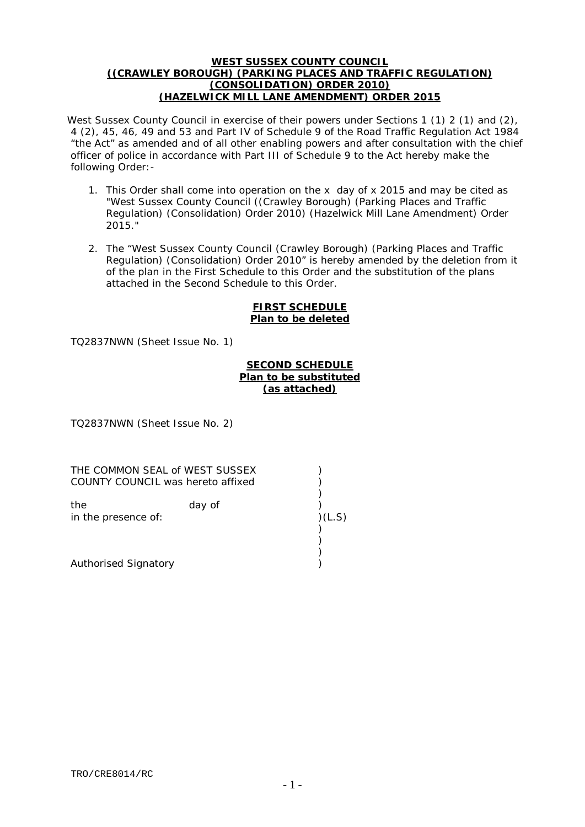#### **WEST SUSSEX COUNTY COUNCIL ((CRAWLEY BOROUGH) (PARKING PLACES AND TRAFFIC REGULATION) (CONSOLIDATION) ORDER 2010) (HAZELWICK MILL LANE AMENDMENT) ORDER 2015**

West Sussex County Council in exercise of their powers under Sections 1 (1) 2 (1) and (2), 4 (2), 45, 46, 49 and 53 and Part IV of Schedule 9 of the Road Traffic Regulation Act 1984 "the Act" as amended and of all other enabling powers and after consultation with the chief officer of police in accordance with Part III of Schedule 9 to the Act hereby make the following Order:-

- 1. This Order shall come into operation on the x day of x 2015 and may be cited as "West Sussex County Council ((Crawley Borough) (Parking Places and Traffic Regulation) (Consolidation) Order 2010) (Hazelwick Mill Lane Amendment) Order 2015."
- 2. The "West Sussex County Council (Crawley Borough) (Parking Places and Traffic Regulation) (Consolidation) Order 2010" is hereby amended by the deletion from it of the plan in the First Schedule to this Order and the substitution of the plans attached in the Second Schedule to this Order.

#### **FIRST SCHEDULE Plan to be deleted**

TQ2837NWN (Sheet Issue No. 1)

### **SECOND SCHEDULE Plan to be substituted (as attached)**

)

) )

TQ2837NWN (Sheet Issue No. 2)

THE COMMON SEAL of WEST SUSSEX (1994) COUNTY COUNCIL was hereto affixed )

the day of ) in the presence of: )(L.S) )

Authorised Signatory (1999)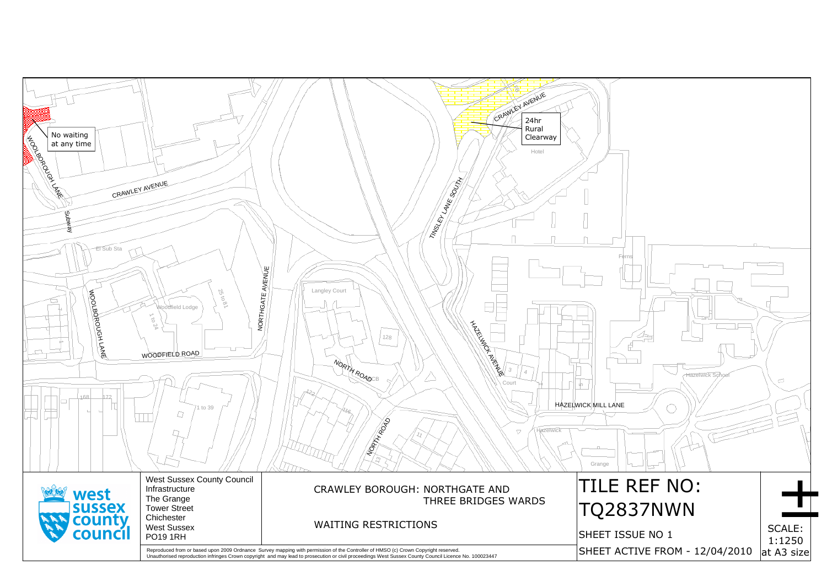